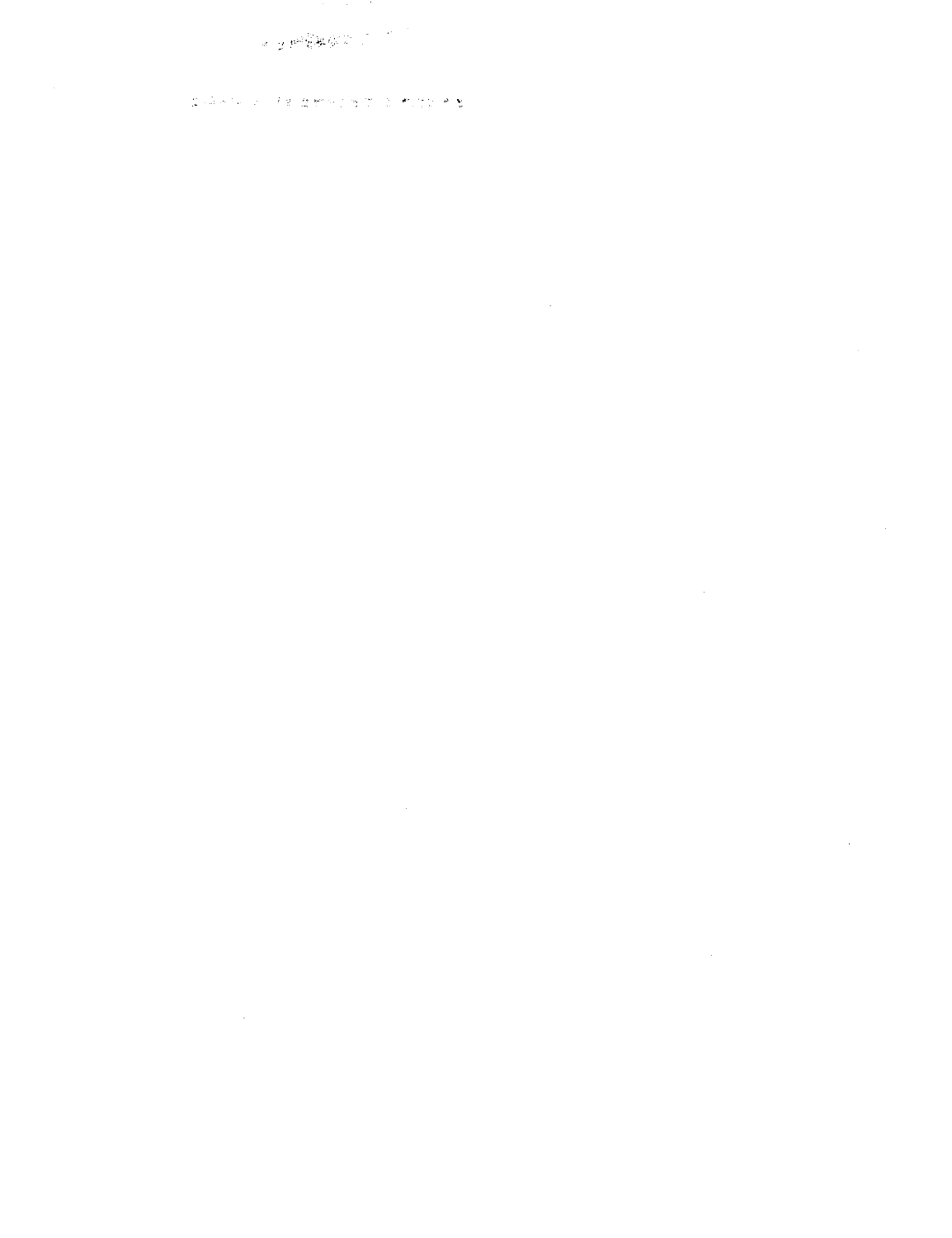**大豆地名美国**大学

 $\mathcal{A}^{\text{max}}_{\text{max}}$ 

# $\frac{1}{\sqrt{2}}\left(\sqrt{2}\left(\log\left(\frac{1}{\sqrt{2}}\right)\right)\right)=\sqrt{2}\left(\frac{1}{\sqrt{2}}\right)=\frac{1}{\sqrt{2}}\left(\frac{1}{\sqrt{2}}\right)\frac{\log\left(\frac{1}{\sqrt{2}}\right)}{\log\left(\frac{1}{\sqrt{2}}\right)}=\frac{1}{\sqrt{2}}\left(\frac{1}{\sqrt{2}}\right)\frac{\log\left(\frac{1}{\sqrt{2}}\right)}{\log\left(\frac{1}{\sqrt{2}}\right)}=\frac{1}{\sqrt{2}}\left(\frac{1}{\sqrt{2}}\right)\frac{\log\left(\frac{1}{\sqrt{2}}\right$

 $\label{eq:1} \begin{split} \mathbf{x}^{(1)} &= \mathbf{y}^{(1)} + \mathbf{y}^{(2)} + \mathbf{y}^{(3)} + \mathbf{y}^{(4)} + \mathbf{y}^{(5)} + \mathbf{y}^{(6)} + \mathbf{y}^{(6)} + \mathbf{y}^{(6)} + \mathbf{y}^{(6)} + \mathbf{y}^{(6)} + \mathbf{y}^{(6)} + \mathbf{y}^{(6)} + \mathbf{y}^{(6)} + \mathbf{y}^{(6)} + \mathbf{y}^{(6)} + \mathbf{y}^{(6)} + \mathbf{y}^{(6)} + \mathbf{y}^{(6)} +$ 

 $\mathcal{L}^{\text{max}}_{\text{max}}$ 

 $\mathcal{L}^{\text{max}}_{\text{max}}$  and  $\mathcal{L}^{\text{max}}_{\text{max}}$ 

 $\mathcal{L}^{\text{max}}_{\text{max}}$  ,  $\mathcal{L}^{\text{max}}_{\text{max}}$ 

 $\label{eq:2.1} \frac{1}{\sqrt{2}}\int_{\mathbb{R}^3}\frac{1}{\sqrt{2}}\left(\frac{1}{\sqrt{2}}\right)^2\frac{1}{\sqrt{2}}\left(\frac{1}{\sqrt{2}}\right)^2\frac{1}{\sqrt{2}}\left(\frac{1}{\sqrt{2}}\right)^2\frac{1}{\sqrt{2}}\left(\frac{1}{\sqrt{2}}\right)^2.$